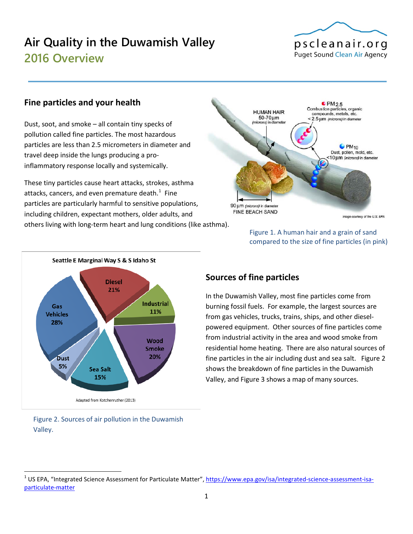# **Air Quality in the Duwamish Valley 2016 Overview**



#### **Fine particles and your health**

Dust, soot, and smoke – all contain tiny specks of pollution called fine particles. The most hazardous particles are less than 2.5 micrometers in diameter and travel deep inside the lungs producing a proinflammatory response locally and systemically.

These tiny particles cause heart attacks, strokes, asthma attacks, cancers, and even premature death. $^{1}$  $^{1}$  $^{1}$  Fine particles are particularly harmful to sensitive populations, including children, expectant mothers, older adults, and others living with long-term heart and lung conditions (like asthma).







#### Figure 2. Sources of air pollution in the Duwamish Valley.

#### **Sources of fine particles**

In the Duwamish Valley, most fine particles come from burning fossil fuels. For example, the largest sources are from gas vehicles, trucks, trains, ships, and other dieselpowered equipment. Other sources of fine particles come from industrial activity in the area and wood smoke from residential home heating. There are also natural sources of fine particles in the air including dust and sea salt. Figure 2 shows the breakdown of fine particles in the Duwamish Valley, and Figure 3 shows a map of many sources.

<span id="page-0-0"></span><sup>&</sup>lt;sup>1</sup> US EPA, "Integrated Science Assessment for Particulate Matter"[, https://www.epa.gov/isa/integrated-science-assessment-isa](https://www.epa.gov/isa/integrated-science-assessment-isa-particulate-matter)[particulate-matter](https://www.epa.gov/isa/integrated-science-assessment-isa-particulate-matter)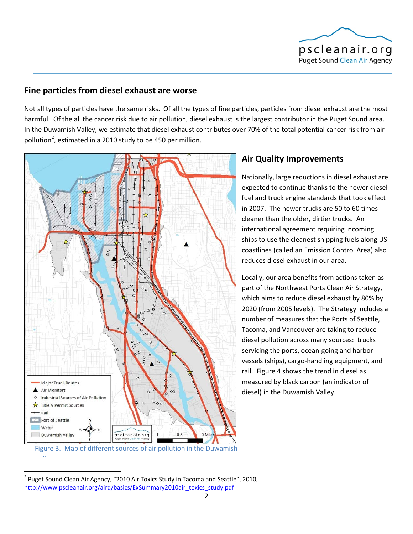

#### **Fine particles from diesel exhaust are worse**

Not all types of particles have the same risks. Of all the types of fine particles, particles from diesel exhaust are the most harmful. Of the all the cancer risk due to air pollution, diesel exhaust is the largest contributor in the Puget Sound area. In the Duwamish Valley, we estimate that diesel exhaust contributes over 70% of the total potential cancer risk from air pollution<sup>[2](#page-1-0)</sup>, estimated in a 2010 study to be 450 per million.



## **Air Quality Improvements**

Nationally, large reductions in diesel exhaust are expected to continue thanks to the newer diesel fuel and truck engine standards that took effect in 2007. The newer trucks are 50 to 60 times cleaner than the older, dirtier trucks. An international agreement requiring incoming ships to use the cleanest shipping fuels along US coastlines (called an Emission Control Area) also reduces diesel exhaust in our area.

Locally, our area benefits from actions taken as part of the Northwest Ports Clean Air Strategy, which aims to reduce diesel exhaust by 80% by 2020 (from 2005 levels). The Strategy includes a number of measures that the Ports of Seattle, Tacoma, and Vancouver are taking to reduce diesel pollution across many sources: trucks servicing the ports, ocean-going and harbor vessels (ships), cargo-handling equipment, and rail. Figure 4 shows the trend in diesel as measured by black carbon (an indicator of diesel) in the Duwamish Valley.

ll

<span id="page-1-0"></span> $2$  Puget Sound Clean Air Agency, "2010 Air Toxics Study in Tacoma and Seattle", 2010, [http://www.pscleanair.org/airq/basics/ExSummary2010air\\_toxics\\_study.pdf](http://www.pscleanair.org/airq/basics/ExSummary2010air_toxics_study.pdf)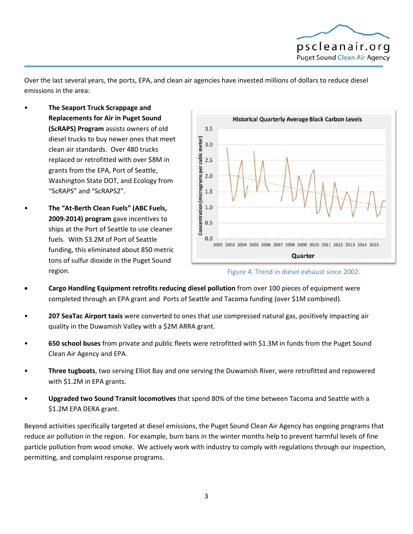

Over the last several years, the ports, EPA, and clean air agencies have invested millions of dollars to reduce diesel emissions in the area:

- **The Seaport Truck Scrappage and Replacements for Air in Puget Sound (ScRAPS) Program** assists owners of old diesel trucks to buy newer ones that meet clean air standards. Over 480 trucks replaced or retrofitted with over \$8M in grants from the EPA, Port of Seattle, Washington State DOT, and Ecology from "ScRAPS" and "ScRAPS2".
- **The "At-Berth Clean Fuels" (ABC Fuels, 2009-2014) program** gave incentives to ships at the Port of Seattle to use cleaner fuels. With \$3.2M of Port of Seattle funding, this eliminated about 850 metric tons of sulfur dioxide in the Puget Sound region.





- **Cargo Handling Equipment retrofits reducing diesel pollution** from over 100 pieces of equipment were completed through an EPA grant and Ports of Seattle and Tacoma funding (over \$1M combined).
- **207 SeaTac Airport taxis** were converted to ones that use compressed natural gas, positively impacting air quality in the Duwamish Valley with a \$2M ARRA grant.
- **650 school buses** from private and public fleets were retrofitted with \$1.3M in funds from the Puget Sound Clean Air Agency and EPA.
- **Three tugboats**, two serving Elliot Bay and one serving the Duwamish River, were retrofitted and repowered with \$1.2M in EPA grants.
- **Upgraded two Sound Transit locomotives** that spend 80% of the time between Tacoma and Seattle with a \$1.2M EPA DERA grant.

Beyond activities specifically targeted at diesel emissions, the Puget Sound Clean Air Agency has ongoing programs that reduce air pollution in the region. For example, burn bans in the winter months help to prevent harmful levels of fine particle pollution from wood smoke. We actively work with industry to comply with regulations through our inspection, permitting, and complaint response programs.